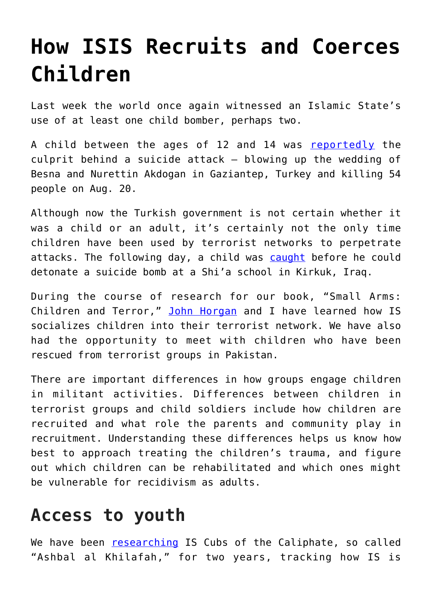## **[How ISIS Recruits and Coerces](https://intellectualtakeout.org/2016/08/how-isis-recruits-and-coerces-children/) [Children](https://intellectualtakeout.org/2016/08/how-isis-recruits-and-coerces-children/)**

Last week the world once again witnessed an Islamic State's use of at least one child bomber, perhaps two.

A child between the ages of 12 and 14 was [reportedly](http://www.cnn.com/2016/08/22/asia/turkey-gaziantep-blast/index.html) the culprit behind a suicide attack – blowing up the wedding of Besna and Nurettin Akdogan in Gaziantep, Turkey and killing 54 people on Aug. 20.

Although now the Turkish government is not certain whether it was a child or an adult, it's certainly not the only time children have been used by terrorist networks to perpetrate attacks. The following day, a child was [caught](http://abcnews.go.com/International/wireStory/iraqi-police-apprehend-boy-suicide-bomber-city-kirkuk-41565503) before he could detonate a suicide bomb at a Shi'a school in Kirkuk, Iraq.

During the course of research for our book, "Small Arms: Children and Terror," [John Horgan](http://www.terroristbehavior.com/bio/) and I have learned how IS socializes children into their terrorist network. We have also had the opportunity to meet with children who have been rescued from terrorist groups in Pakistan.

There are important differences in how groups engage children in militant activities. Differences between children in terrorist groups and child soldiers include how children are recruited and what role the parents and community play in recruitment. Understanding these differences helps us know how best to approach treating the children's trauma, and figure out which children can be rehabilitated and which ones might be vulnerable for recidivism as adults.

## **Access to youth**

We have been [researching](https://news.vice.com/article/this-is-how-the-islamic-state-manufactures-child-militants) IS Cubs of the Caliphate, so called "Ashbal al Khilafah," for two years, tracking how IS is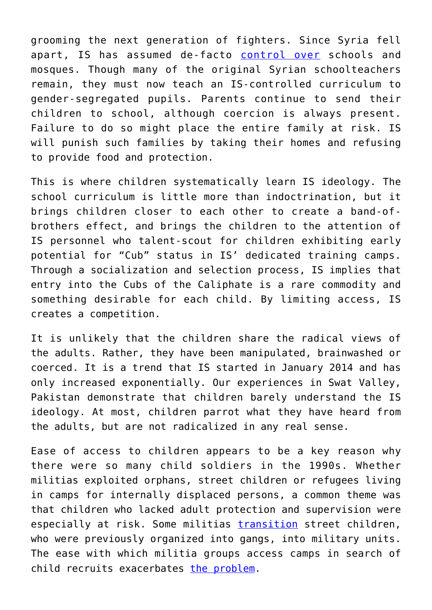grooming the next generation of fighters. Since Syria fell apart, IS has assumed de-facto [control over](http://english.alarabiya.net/en/perspective/features/2014/08/30/ISIS-begins-implementing-its-Islamic-curriculum-in-schools-.html) schools and mosques. Though many of the original Syrian schoolteachers remain, they must now teach an IS-controlled curriculum to gender-segregated pupils. Parents continue to send their children to school, although coercion is always present. Failure to do so might place the entire family at risk. IS will punish such families by taking their homes and refusing to provide food and protection.

This is where children systematically learn IS ideology. The school curriculum is little more than indoctrination, but it brings children closer to each other to create a band-ofbrothers effect, and brings the children to the attention of IS personnel who talent-scout for children exhibiting early potential for "Cub" status in IS' dedicated training camps. Through a socialization and selection process, IS implies that entry into the Cubs of the Caliphate is a rare commodity and something desirable for each child. By limiting access, IS creates a competition.

It is unlikely that the children share the radical views of the adults. Rather, they have been manipulated, brainwashed or coerced. It is a trend that IS started in January 2014 and has only increased exponentially. Our experiences in Swat Valley, Pakistan demonstrate that children barely understand the IS ideology. At most, children parrot what they have heard from the adults, but are not radicalized in any real sense.

Ease of access to children appears to be a key reason why there were so many child soldiers in the 1990s. Whether militias exploited orphans, street children or refugees living in camps for internally displaced persons, a common theme was that children who lacked adult protection and supervision were especially at risk. Some militias [transition](https://www.jstor.org/stable/4006694?seq=1#page_scan_tab_contents) street children, who were previously organized into gangs, into military units. The ease with which militia groups access camps in search of child recruits exacerbates [the problem](https://www.fordinstitute.pitt.edu/Portals/0/Pub_PDF/NoPlacetoHide.pdf).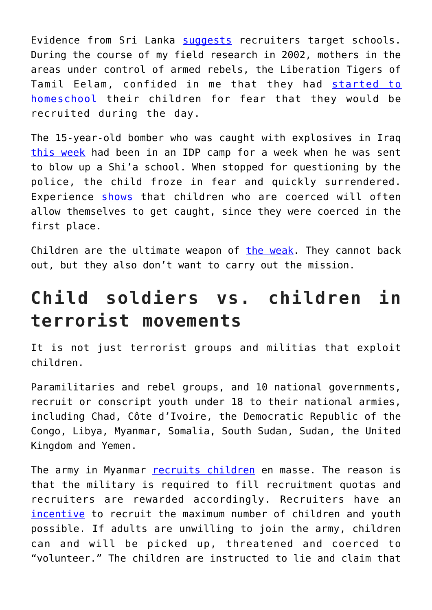Evidence from Sri Lanka [suggests](https://www.upress.pitt.edu/BookDetails.aspx?bookId=35979) recruiters target schools. During the course of my field research in 2002, mothers in the areas under control of armed rebels, the Liberation Tigers of Tamil Eelam, confided in me that they had [started to](http://www.tandfonline.com/doi/abs/10.1080/13698240308402526) [homeschool](http://www.tandfonline.com/doi/abs/10.1080/13698240308402526) their children for fear that they would be recruited during the day.

The 15-year-old bomber who was caught with explosives in Iraq [this week](http://www.telegraph.co.uk/news/2016/08/22/watch-moment-isil-suicide-bomber-in-football-shirt-aged-12-or-13/) had been in an IDP camp for a week when he was sent to blow up a Shi'a school. When stopped for questioning by the police, the child froze in fear and quickly surrendered. Experience [shows](http://www.cnn.com/2013/03/27/world/asia/pakistan-anti-taliban/) that children who are coerced will often allow themselves to get caught, since they were coerced in the first place.

Children are the ultimate weapon of [the weak.](http://www.powercube.net/other-forms-of-power/scott-resistance/) They cannot back out, but they also don't want to carry out the mission.

## **Child soldiers vs. children in terrorist movements**

It is not just terrorist groups and militias that exploit children.

Paramilitaries and rebel groups, and 10 national governments, recruit or conscript youth under 18 to their national armies, including Chad, Côte d'Ivoire, the Democratic Republic of the Congo, Libya, Myanmar, Somalia, South Sudan, Sudan, the United Kingdom and Yemen.

The army in Myanmar [recruits children](https://www.files.ethz.ch/isn/45674/2007_Child_Recruitment.pdf) en masse. The reason is that the military is required to fill recruitment quotas and recruiters are rewarded accordingly. Recruiters have an [incentive](http://reliefweb.int/report/myanmar/ongoing-underage-recruitment-and-use-myanmar-military-and-non-state-armed-groups) to recruit the maximum number of children and youth possible. If adults are unwilling to join the army, children can and will be picked up, threatened and coerced to "volunteer." The children are instructed to lie and claim that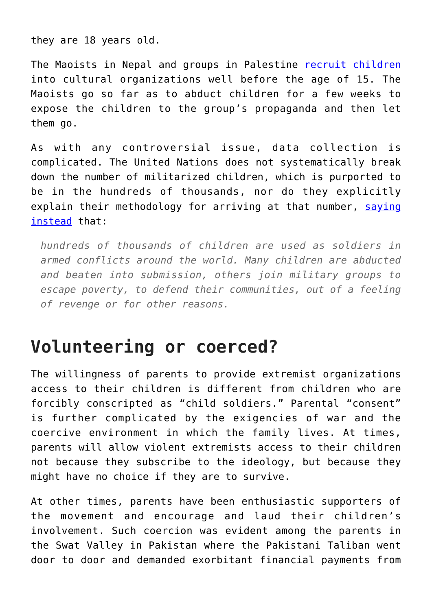they are 18 years old.

The Maoists in Nepal and groups in Palestine [recruit children](https://www.hrw.org/reports/2007/nepal0207/4.htm) into cultural organizations well before the age of 15. The Maoists go so far as to abduct children for a few weeks to expose the children to the group's propaganda and then let them go.

As with any controversial issue, data collection is complicated. The United Nations does not systematically break down the number of militarized children, which is purported to be in the hundreds of thousands, nor do they explicitly explain their methodology for arriving at that number, [saying](https://childrenandarmedconflict.un.org/effects-of-conflict/six-grave-violations/child-soldiers/) [instead](https://childrenandarmedconflict.un.org/effects-of-conflict/six-grave-violations/child-soldiers/) that:

*hundreds of thousands of children are used as soldiers in armed conflicts around the world. Many children are abducted and beaten into submission, others join military groups to escape poverty, to defend their communities, out of a feeling of revenge or for other reasons.*

## **Volunteering or coerced?**

The willingness of parents to provide extremist organizations access to their children is different from children who are forcibly conscripted as "child soldiers." Parental "consent" is further complicated by the exigencies of war and the coercive environment in which the family lives. At times, parents will allow violent extremists access to their children not because they subscribe to the ideology, but because they might have no choice if they are to survive.

At other times, parents have been enthusiastic supporters of the movement and encourage and laud their children's involvement. Such coercion was evident among the parents in the Swat Valley in Pakistan where the Pakistani Taliban went door to door and demanded exorbitant financial payments from